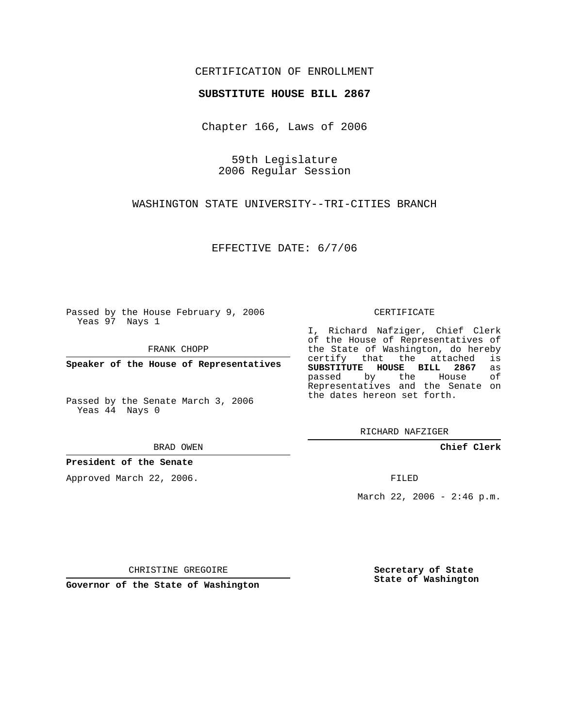## CERTIFICATION OF ENROLLMENT

## **SUBSTITUTE HOUSE BILL 2867**

Chapter 166, Laws of 2006

59th Legislature 2006 Regular Session

WASHINGTON STATE UNIVERSITY--TRI-CITIES BRANCH

EFFECTIVE DATE: 6/7/06

Passed by the House February 9, 2006 Yeas 97 Nays 1

FRANK CHOPP

**Speaker of the House of Representatives**

Passed by the Senate March 3, 2006 Yeas 44 Nays 0

BRAD OWEN

**President of the Senate**

Approved March 22, 2006.

CERTIFICATE

I, Richard Nafziger, Chief Clerk of the House of Representatives of the State of Washington, do hereby<br>certify that the attached is certify that the attached **SUBSTITUTE HOUSE BILL 2867** as passed by the House of Representatives and the Senate on the dates hereon set forth.

RICHARD NAFZIGER

**Chief Clerk**

FILED

March 22, 2006 - 2:46 p.m.

CHRISTINE GREGOIRE

**Governor of the State of Washington**

**Secretary of State State of Washington**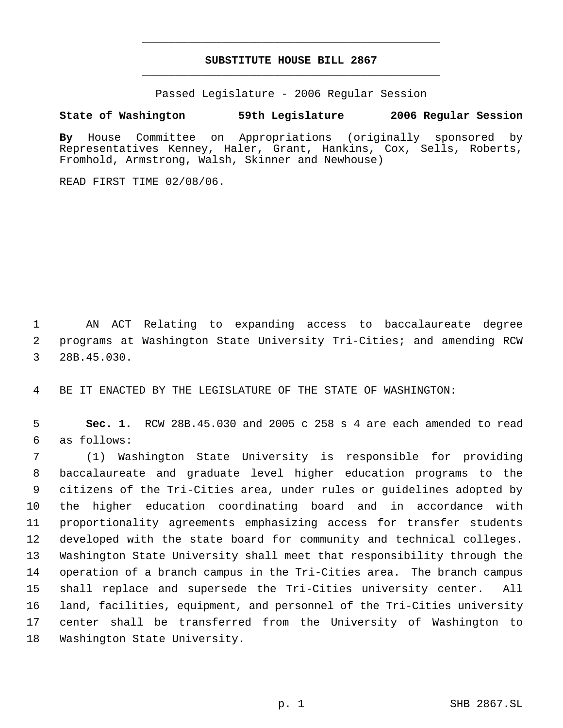## **SUBSTITUTE HOUSE BILL 2867** \_\_\_\_\_\_\_\_\_\_\_\_\_\_\_\_\_\_\_\_\_\_\_\_\_\_\_\_\_\_\_\_\_\_\_\_\_\_\_\_\_\_\_\_\_

\_\_\_\_\_\_\_\_\_\_\_\_\_\_\_\_\_\_\_\_\_\_\_\_\_\_\_\_\_\_\_\_\_\_\_\_\_\_\_\_\_\_\_\_\_

Passed Legislature - 2006 Regular Session

## **State of Washington 59th Legislature 2006 Regular Session**

**By** House Committee on Appropriations (originally sponsored by Representatives Kenney, Haler, Grant, Hankins, Cox, Sells, Roberts, Fromhold, Armstrong, Walsh, Skinner and Newhouse)

READ FIRST TIME 02/08/06.

 AN ACT Relating to expanding access to baccalaureate degree programs at Washington State University Tri-Cities; and amending RCW 28B.45.030.

BE IT ENACTED BY THE LEGISLATURE OF THE STATE OF WASHINGTON:

 **Sec. 1.** RCW 28B.45.030 and 2005 c 258 s 4 are each amended to read as follows:

 (1) Washington State University is responsible for providing baccalaureate and graduate level higher education programs to the citizens of the Tri-Cities area, under rules or guidelines adopted by the higher education coordinating board and in accordance with proportionality agreements emphasizing access for transfer students developed with the state board for community and technical colleges. Washington State University shall meet that responsibility through the operation of a branch campus in the Tri-Cities area. The branch campus shall replace and supersede the Tri-Cities university center. All land, facilities, equipment, and personnel of the Tri-Cities university center shall be transferred from the University of Washington to Washington State University.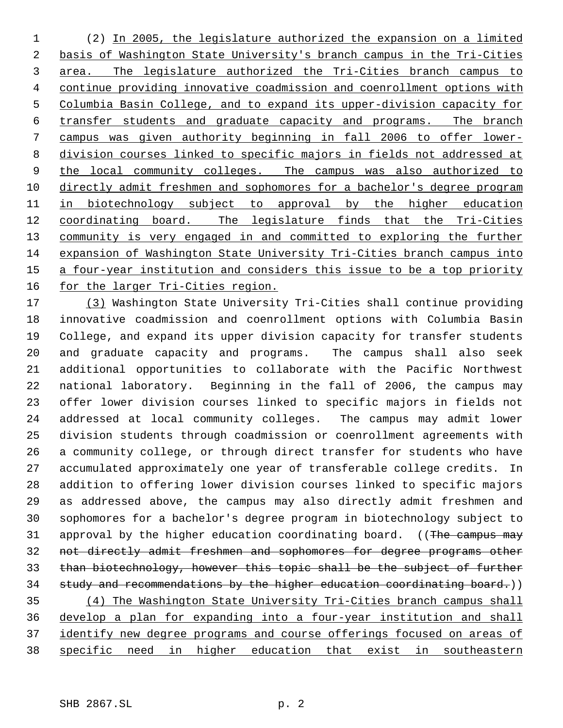(2) In 2005, the legislature authorized the expansion on a limited 2 basis of Washington State University's branch campus in the Tri-Cities area. The legislature authorized the Tri-Cities branch campus to continue providing innovative coadmission and coenrollment options with Columbia Basin College, and to expand its upper-division capacity for transfer students and graduate capacity and programs. The branch campus was given authority beginning in fall 2006 to offer lower- division courses linked to specific majors in fields not addressed at 9 the local community colleges. The campus was also authorized to directly admit freshmen and sophomores for a bachelor's degree program in biotechnology subject to approval by the higher education coordinating board. The legislature finds that the Tri-Cities 13 community is very engaged in and committed to exploring the further expansion of Washington State University Tri-Cities branch campus into a four-year institution and considers this issue to be a top priority for the larger Tri-Cities region.

 (3) Washington State University Tri-Cities shall continue providing innovative coadmission and coenrollment options with Columbia Basin College, and expand its upper division capacity for transfer students and graduate capacity and programs. The campus shall also seek additional opportunities to collaborate with the Pacific Northwest national laboratory. Beginning in the fall of 2006, the campus may offer lower division courses linked to specific majors in fields not addressed at local community colleges. The campus may admit lower division students through coadmission or coenrollment agreements with a community college, or through direct transfer for students who have accumulated approximately one year of transferable college credits. In addition to offering lower division courses linked to specific majors as addressed above, the campus may also directly admit freshmen and sophomores for a bachelor's degree program in biotechnology subject to 31 approval by the higher education coordinating board. ((The campus may not directly admit freshmen and sophomores for degree programs other than biotechnology, however this topic shall be the subject of further 34 study and recommendations by the higher education coordinating board.)) (4) The Washington State University Tri-Cities branch campus shall develop a plan for expanding into a four-year institution and shall 37 identify new degree programs and course offerings focused on areas of specific need in higher education that exist in southeastern